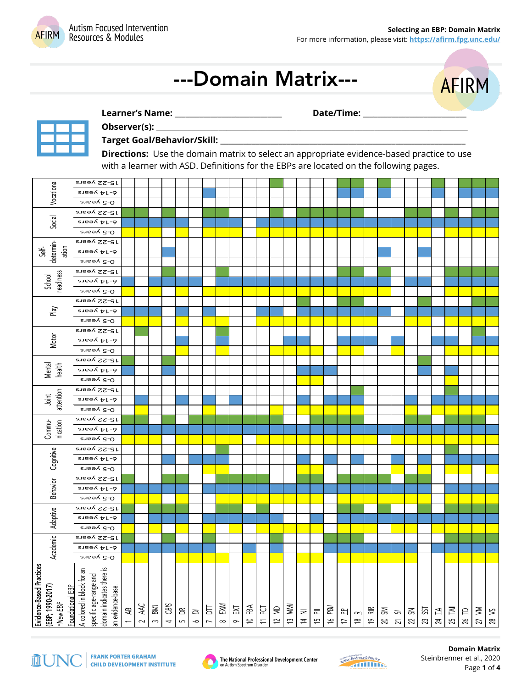

# ---Domain Matrix---



**Learner's Name: \_\_\_\_\_\_\_\_\_\_\_\_\_\_\_\_\_\_\_\_\_\_\_\_\_\_\_\_\_\_ Date/Time: \_\_\_\_\_\_\_\_\_\_\_\_\_\_\_\_\_\_\_\_\_\_\_\_\_\_\_\_\_** 



#### **Observer(s):** \_\_\_\_\_\_\_\_\_\_\_\_\_\_\_\_\_\_\_\_\_\_\_\_\_\_\_\_\_\_\_\_\_\_\_\_\_\_\_\_\_\_\_\_\_\_\_\_\_\_\_\_\_\_\_\_\_\_\_\_\_\_\_\_\_\_\_\_\_\_\_\_\_\_\_\_\_\_\_\_

#### **Target Goal/Behavior/Skill:** \_\_\_\_\_\_\_\_\_\_\_\_\_\_\_\_\_\_\_\_\_\_\_\_\_\_\_\_\_\_\_\_\_\_\_\_\_\_\_\_\_\_\_\_\_\_\_\_\_\_\_\_\_\_\_\_\_\_\_\_\_\_\_

**Directions:** Use the domain matrix to select an appropriate evidence-based practice to use with a learner with ASD. Definitions for the EBPs are located on the following pages.

| Vocational                                                                   | 15-22 years                                                                                           |                               |               |                     |                   |                          |             |                     |                 |                    |                        |      |       |       |                             |        |         |                             |                       |                             |                |                                      |                    |           |                                                     |         |                         |       |       |
|------------------------------------------------------------------------------|-------------------------------------------------------------------------------------------------------|-------------------------------|---------------|---------------------|-------------------|--------------------------|-------------|---------------------|-----------------|--------------------|------------------------|------|-------|-------|-----------------------------|--------|---------|-----------------------------|-----------------------|-----------------------------|----------------|--------------------------------------|--------------------|-----------|-----------------------------------------------------|---------|-------------------------|-------|-------|
|                                                                              | 6-14 years                                                                                            |                               |               |                     |                   |                          |             |                     |                 |                    |                        |      |       |       |                             |        |         |                             |                       |                             |                |                                      |                    |           |                                                     |         |                         |       |       |
| Social                                                                       | 0-5 years                                                                                             |                               |               |                     |                   |                          |             |                     |                 |                    |                        |      |       |       |                             |        |         |                             |                       |                             |                |                                      |                    |           |                                                     |         |                         |       |       |
|                                                                              | 15-22 years                                                                                           |                               |               |                     |                   |                          |             |                     |                 |                    |                        |      |       |       |                             |        |         |                             |                       |                             |                |                                      |                    |           |                                                     |         |                         |       |       |
|                                                                              | 6-14 years                                                                                            |                               |               |                     |                   |                          |             |                     |                 |                    |                        |      |       |       |                             |        |         |                             |                       |                             |                |                                      |                    |           |                                                     |         |                         |       |       |
| determin-<br>ation<br><b>Jek</b><br>readiness<br>School                      | 0-5 years                                                                                             |                               |               |                     |                   |                          |             |                     |                 |                    |                        |      |       |       |                             |        |         |                             |                       |                             |                |                                      |                    |           |                                                     |         |                         |       |       |
|                                                                              | 15-22 years                                                                                           |                               |               |                     |                   |                          |             |                     |                 |                    |                        |      |       |       |                             |        |         |                             |                       |                             |                |                                      |                    |           |                                                     |         |                         |       |       |
|                                                                              | $rac{1}{2}$ s vests                                                                                   |                               |               |                     |                   |                          |             |                     |                 |                    |                        |      |       |       |                             |        |         |                             |                       |                             |                |                                      |                    |           |                                                     |         |                         |       |       |
|                                                                              | 0-5 years                                                                                             |                               |               |                     |                   |                          |             |                     |                 |                    |                        |      |       |       |                             |        |         |                             |                       |                             |                |                                      |                    |           |                                                     |         |                         |       |       |
|                                                                              | 15-22 years                                                                                           |                               |               |                     |                   |                          |             |                     |                 |                    |                        |      |       |       |                             |        |         |                             |                       |                             |                |                                      |                    |           |                                                     |         |                         |       |       |
|                                                                              | 6-14 years                                                                                            |                               |               |                     |                   |                          |             |                     |                 |                    |                        |      |       |       |                             |        |         |                             |                       |                             |                |                                      |                    |           |                                                     |         |                         |       |       |
| Play<br>Motor                                                                | 0-5 years                                                                                             |                               |               |                     |                   |                          |             |                     |                 |                    |                        |      |       |       |                             |        |         |                             |                       |                             |                |                                      |                    |           |                                                     |         |                         |       |       |
|                                                                              | 15-22 years                                                                                           |                               |               |                     |                   |                          |             |                     |                 |                    |                        |      |       |       |                             |        |         |                             |                       |                             |                |                                      |                    |           |                                                     |         |                         |       |       |
|                                                                              | 6-14 years                                                                                            |                               |               |                     |                   |                          |             |                     |                 |                    |                        |      |       |       |                             |        |         |                             |                       |                             |                |                                      |                    |           |                                                     |         |                         |       |       |
|                                                                              | 0-5 years                                                                                             |                               |               |                     |                   |                          |             |                     |                 |                    |                        |      |       |       |                             |        |         |                             |                       |                             |                |                                      |                    |           |                                                     |         |                         |       |       |
|                                                                              | 15-22 years                                                                                           |                               |               |                     |                   |                          |             |                     |                 |                    |                        |      |       |       |                             |        |         |                             |                       |                             |                |                                      |                    |           |                                                     |         |                         |       |       |
|                                                                              | 6-14 years                                                                                            |                               |               |                     |                   |                          |             |                     |                 |                    |                        |      |       |       |                             |        |         |                             |                       |                             |                |                                      |                    |           |                                                     |         |                         |       |       |
|                                                                              | 0-5 years                                                                                             |                               |               |                     |                   |                          |             |                     |                 |                    |                        |      |       |       |                             |        |         |                             |                       |                             |                |                                      |                    |           |                                                     |         |                         |       |       |
| Mental<br>health<br>attention<br>Joint                                       |                                                                                                       |                               |               |                     |                   |                          |             |                     |                 |                    |                        |      |       |       |                             |        |         |                             |                       |                             |                |                                      |                    |           |                                                     |         |                         |       |       |
|                                                                              | 15-22 years                                                                                           |                               |               |                     |                   |                          |             |                     |                 |                    |                        |      |       |       |                             |        |         |                             |                       |                             |                |                                      |                    |           |                                                     |         |                         |       |       |
|                                                                              | $6-14$ years                                                                                          |                               |               |                     |                   |                          |             |                     |                 |                    |                        |      |       |       |                             |        |         |                             |                       |                             |                |                                      |                    |           |                                                     |         |                         |       |       |
|                                                                              | 0-5 years                                                                                             |                               |               |                     |                   |                          |             |                     |                 |                    |                        |      |       |       |                             |        |         |                             |                       |                             |                |                                      |                    |           |                                                     |         |                         |       |       |
|                                                                              | 15-22 years                                                                                           |                               |               |                     |                   |                          |             |                     |                 |                    |                        |      |       |       |                             |        |         |                             |                       |                             |                |                                      |                    |           |                                                     |         |                         |       |       |
|                                                                              | 6-14 years                                                                                            |                               |               |                     |                   |                          |             |                     |                 |                    |                        |      |       |       |                             |        |         |                             |                       |                             |                |                                      |                    |           |                                                     |         |                         |       |       |
| Commu-<br>nication                                                           | 0-5 years                                                                                             |                               |               |                     |                   |                          |             |                     |                 |                    |                        |      |       |       |                             |        |         |                             |                       |                             |                |                                      |                    |           |                                                     |         |                         |       |       |
|                                                                              | 15-22 years                                                                                           |                               |               |                     |                   |                          |             |                     |                 |                    |                        |      |       |       |                             |        |         |                             |                       |                             |                |                                      |                    |           |                                                     |         |                         |       |       |
|                                                                              | 6-14 years                                                                                            |                               |               |                     |                   |                          |             |                     |                 |                    |                        |      |       |       |                             |        |         |                             |                       |                             |                |                                      |                    |           |                                                     |         |                         |       |       |
| Cognitive                                                                    | 0-5 years                                                                                             |                               |               |                     |                   |                          |             |                     |                 |                    |                        |      |       |       |                             |        |         |                             |                       |                             |                |                                      |                    |           |                                                     |         |                         |       |       |
|                                                                              | 15-22 years                                                                                           |                               |               |                     |                   |                          |             |                     |                 |                    |                        |      |       |       |                             |        |         |                             |                       |                             |                |                                      |                    |           |                                                     |         |                         |       |       |
|                                                                              | 6-14 years                                                                                            |                               |               |                     |                   |                          |             |                     |                 |                    |                        |      |       |       |                             |        |         |                             |                       |                             |                |                                      |                    |           |                                                     |         |                         |       |       |
| Behavior                                                                     | 0-5 years                                                                                             |                               |               |                     |                   |                          |             |                     |                 |                    |                        |      |       |       |                             |        |         |                             |                       |                             |                |                                      |                    |           |                                                     |         |                         |       |       |
|                                                                              | 15-22 years                                                                                           |                               |               |                     |                   |                          |             |                     |                 |                    |                        |      |       |       |                             |        |         |                             |                       |                             |                |                                      |                    |           |                                                     |         |                         |       |       |
|                                                                              | 6-14 years                                                                                            |                               |               |                     |                   |                          |             |                     |                 |                    |                        |      |       |       |                             |        |         |                             |                       |                             |                |                                      |                    |           |                                                     |         |                         |       |       |
| Adaptive                                                                     | 0-5 years                                                                                             |                               |               |                     |                   |                          |             |                     |                 |                    |                        |      |       |       |                             |        |         |                             |                       |                             |                |                                      |                    |           |                                                     |         |                         |       |       |
|                                                                              | 15-22 years                                                                                           |                               |               |                     |                   |                          |             |                     |                 |                    |                        |      |       |       |                             |        |         |                             |                       |                             |                |                                      |                    |           |                                                     |         |                         |       |       |
|                                                                              | $6-14$ years                                                                                          |                               |               |                     |                   |                          |             |                     |                 |                    |                        |      |       |       |                             |        |         |                             |                       |                             |                |                                      |                    |           |                                                     |         |                         |       |       |
| Academic                                                                     | 0-5 years                                                                                             |                               |               |                     |                   |                          |             |                     |                 |                    |                        |      |       |       |                             |        |         |                             |                       |                             |                |                                      |                    |           |                                                     |         |                         |       |       |
|                                                                              | 15-22 years                                                                                           |                               |               |                     |                   |                          |             |                     |                 |                    |                        |      |       |       |                             |        |         |                             |                       |                             |                |                                      |                    |           |                                                     |         |                         |       |       |
|                                                                              | $6 - 14$ years                                                                                        |                               |               |                     |                   |                          |             |                     |                 |                    |                        |      |       |       |                             |        |         |                             |                       |                             |                |                                      |                    |           |                                                     |         |                         |       |       |
|                                                                              | 0-5 years                                                                                             |                               |               |                     |                   |                          |             |                     |                 |                    |                        |      |       |       |                             |        |         |                             |                       |                             |                |                                      |                    |           |                                                     |         |                         |       |       |
| Evidence-Based Practices<br>(EBP; 1990-2017)<br>Foundational EBP<br>*New EBP | domain indicates there is<br>A colored in block for an<br>specific age-range and<br>an evidence-base. | 受<br>$\overline{\phantom{0}}$ | AAC<br>$\sim$ | <b>BM</b><br>$\sim$ | CBIS<br>$\ddot{}$ | $\widetilde{\Xi}$<br>LO. | ā<br>$\sim$ | 旨<br>$\overline{ }$ | EXM<br>$\infty$ | $\Sigma$<br>$\sim$ | $\tilde{E}$<br>$\cong$ | 11 E | 12 MD | 13 MM | $\bar{z}$<br>$\overline{4}$ | 15 PII | 16 PBII | 쉽 $\vert$<br>$\overline{1}$ | $\simeq$<br>$\approx$ | $\mathbb{R}$<br>$\tilde{e}$ | ŠΜ<br>$\infty$ | $\overline{\rm c}$<br>$\overline{c}$ | $\mathbb{S}$<br>22 | SST<br>23 | $\overline{\mathbb{L}}$<br>$\overline{\mathcal{U}}$ | 25 TAII | $\Box$<br>$\frac{2}{6}$ | 27 VM | 28 VS |
|                                                                              |                                                                                                       |                               |               |                     |                   |                          |             |                     |                 |                    |                        |      |       |       |                             |        |         |                             |                       |                             |                |                                      |                    |           |                                                     |         |                         |       |       |



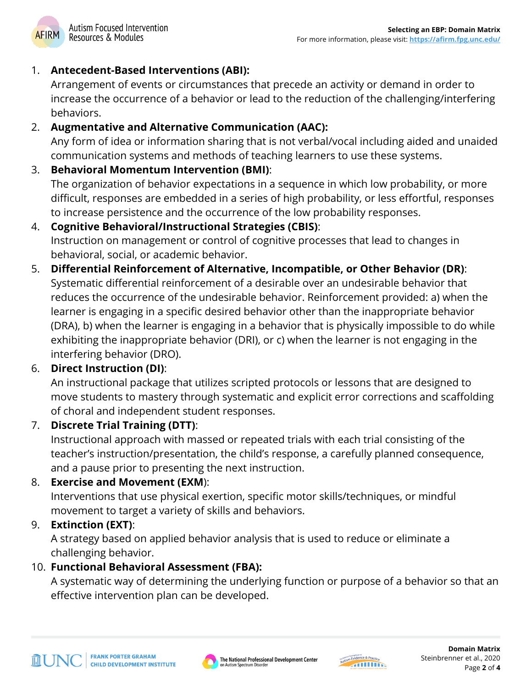## 1. **Antecedent-Based Interventions (ABI):**

Arrangement of events or circumstances that precede an activity or demand in order to increase the occurrence of a behavior or lead to the reduction of the challenging/interfering behaviors.

## 2. **Augmentative and Alternative Communication (AAC):**

Any form of idea or information sharing that is not verbal/vocal including aided and unaided communication systems and methods of teaching learners to use these systems.

### 3. **Behavioral Momentum Intervention (BMI)**:

The organization of behavior expectations in a sequence in which low probability, or more difficult, responses are embedded in a series of high probability, or less effortful, responses to increase persistence and the occurrence of the low probability responses.

## 4. **Cognitive Behavioral/Instructional Strategies (CBIS)**: Instruction on management or control of cognitive processes that lead to changes in behavioral, social, or academic behavior.

5. **Differential Reinforcement of Alternative, Incompatible, or Other Behavior (DR)**: Systematic differential reinforcement of a desirable over an undesirable behavior that reduces the occurrence of the undesirable behavior. Reinforcement provided: a) when the learner is engaging in a specific desired behavior other than the inappropriate behavior (DRA), b) when the learner is engaging in a behavior that is physically impossible to do while exhibiting the inappropriate behavior (DRI), or c) when the learner is not engaging in the interfering behavior (DRO).

# 6. **Direct Instruction (DI)**:

An instructional package that utilizes scripted protocols or lessons that are designed to move students to mastery through systematic and explicit error corrections and scaffolding of choral and independent student responses.

# 7. **Discrete Trial Training (DTT)**:

Instructional approach with massed or repeated trials with each trial consisting of the teacher's instruction/presentation, the child's response, a carefully planned consequence, and a pause prior to presenting the next instruction.

#### 8. **Exercise and Movement (EXM**):

Interventions that use physical exertion, specific motor skills/techniques, or mindful movement to target a variety of skills and behaviors.

#### 9. **Extinction (EXT)**:

A strategy based on applied behavior analysis that is used to reduce or eliminate a challenging behavior.

#### 10. **Functional Behavioral Assessment (FBA):**

A systematic way of determining the underlying function or purpose of a behavior so that an effective intervention plan can be developed.



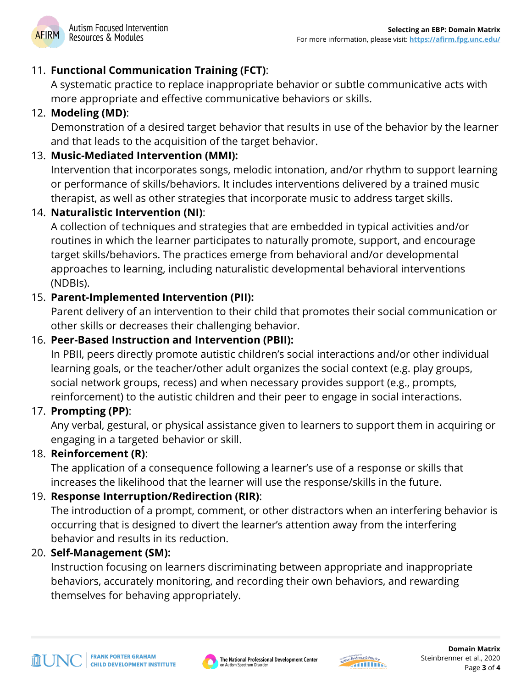

#### 11. **Functional Communication Training (FCT)**:

A systematic practice to replace inappropriate behavior or subtle communicative acts with more appropriate and effective communicative behaviors or skills.

# 12. **Modeling (MD)**:

Demonstration of a desired target behavior that results in use of the behavior by the learner and that leads to the acquisition of the target behavior.

## 13. **Music-Mediated Intervention (MMI):**

Intervention that incorporates songs, melodic intonation, and/or rhythm to support learning or performance of skills/behaviors. It includes interventions delivered by a trained music therapist, as well as other strategies that incorporate music to address target skills.

#### 14. **Naturalistic Intervention (NI)**:

A collection of techniques and strategies that are embedded in typical activities and/or routines in which the learner participates to naturally promote, support, and encourage target skills/behaviors. The practices emerge from behavioral and/or developmental approaches to learning, including naturalistic developmental behavioral interventions (NDBIs).

# 15. **Parent-Implemented Intervention (PII):**

Parent delivery of an intervention to their child that promotes their social communication or other skills or decreases their challenging behavior.

## 16. **Peer-Based Instruction and Intervention (PBII):**

In PBII, peers directly promote autistic children's social interactions and/or other individual learning goals, or the teacher/other adult organizes the social context (e.g. play groups, social network groups, recess) and when necessary provides support (e.g., prompts, reinforcement) to the autistic children and their peer to engage in social interactions.

#### 17. **Prompting (PP)**:

Any verbal, gestural, or physical assistance given to learners to support them in acquiring or engaging in a targeted behavior or skill.

#### 18. **Reinforcement (R)**:

The application of a consequence following a learner's use of a response or skills that increases the likelihood that the learner will use the response/skills in the future.

#### 19. **Response Interruption/Redirection (RIR)**:

The introduction of a prompt, comment, or other distractors when an interfering behavior is occurring that is designed to divert the learner's attention away from the interfering behavior and results in its reduction.

#### 20. **Self-Management (SM):**

Instruction focusing on learners discriminating between appropriate and inappropriate behaviors, accurately monitoring, and recording their own behaviors, and rewarding themselves for behaving appropriately.